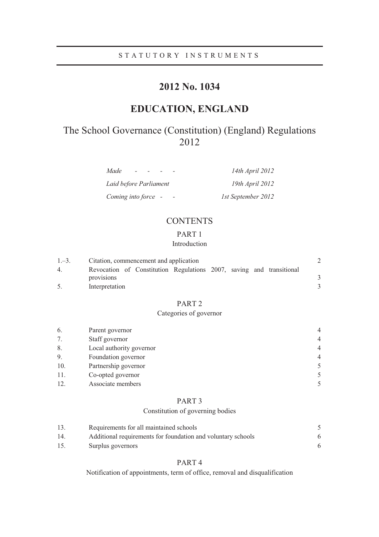## STATUTORY INSTRUMENTS

# **2012 No. 1034**

# **EDUCATION, ENGLAND**

# The School Governance (Constitution) (England) Regulations 2012

| Made                   | 14th April 2012    |
|------------------------|--------------------|
| Laid before Parliament | 19th April 2012    |
| Coming into force -    | 1st September 2012 |

## **CONTENTS**

## PART 1

## Introduction

| $1,-3.$ | Citation, commencement and application                               |  |  |  |  |  |  |
|---------|----------------------------------------------------------------------|--|--|--|--|--|--|
| 4       | Revocation of Constitution Regulations 2007, saving and transitional |  |  |  |  |  |  |
|         | provisions                                                           |  |  |  |  |  |  |
|         | Interpretation                                                       |  |  |  |  |  |  |

## PART 2

## Categories of governor

| 6.  | Parent governor          | 4              |
|-----|--------------------------|----------------|
| 7.  | Staff governor           | $\overline{4}$ |
| 8.  | Local authority governor | $\overline{4}$ |
| 9.  | Foundation governor      | 4              |
| 10. | Partnership governor     |                |
| 11. | Co-opted governor        |                |
| 12. | Associate members        |                |

### PART 3

## Constitution of governing bodies

| 13. | Requirements for all maintained schools                      |  |
|-----|--------------------------------------------------------------|--|
| 14. | Additional requirements for foundation and voluntary schools |  |
| 15. | Surplus governors                                            |  |

## PART 4

Notification of appointments, term of office, removal and disqualification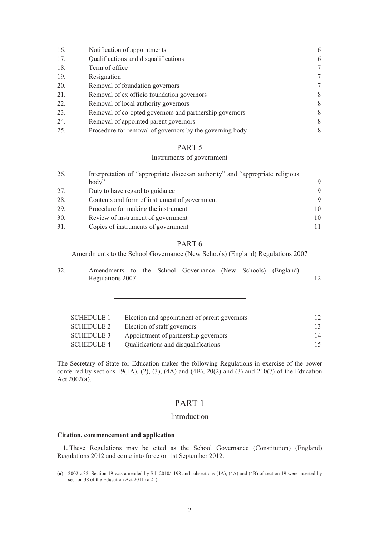| 16. | Notification of appointments                             | 6      |
|-----|----------------------------------------------------------|--------|
| 17. | Qualifications and disqualifications                     | 6      |
| 18. | Term of office                                           | $\tau$ |
| 19. | Resignation                                              | 7      |
| 20. | Removal of foundation governors                          | 7      |
| 21. | Removal of ex officio foundation governors               | 8      |
| 22. | Removal of local authority governors                     | 8      |
| 23. | Removal of co-opted governors and partnership governors  | 8      |
| 24. | Removal of appointed parent governors                    | 8      |
| 25. | Procedure for removal of governors by the governing body | 8      |

## Instruments of government

| 26. | Interpretation of "appropriate diocesan authority" and "appropriate religious |    |  |  |  |  |
|-----|-------------------------------------------------------------------------------|----|--|--|--|--|
|     | body"                                                                         | 9  |  |  |  |  |
| 27. | Duty to have regard to guidance                                               | 9  |  |  |  |  |
| 28. | Contents and form of instrument of government                                 | 9  |  |  |  |  |
| 29. | Procedure for making the instrument                                           | 10 |  |  |  |  |
| 30. | Review of instrument of government                                            | 10 |  |  |  |  |
| 31. | Copies of instruments of government                                           |    |  |  |  |  |

### PART 6

Amendments to the School Governance (New Schools) (England) Regulations 2007

| 32. | Amendments to the School Governance (New Schools) (England) |  |  |  |  |
|-----|-------------------------------------------------------------|--|--|--|--|
|     | Regulations 2007                                            |  |  |  |  |

| $SCHEDULE 1$ — Election and appointment of parent governors | 12. |
|-------------------------------------------------------------|-----|
| $SCHEDULE 2$ - Election of staff governors                  | 13  |
| SCHEDULE $3$ — Appointment of partnership governors         | 14  |
| $SCHEDULE 4$ — Qualifications and disqualifications         | 15. |

The Secretary of State for Education makes the following Regulations in exercise of the power conferred by sections 19(1A), (2), (3), (4A) and (4B),  $20(2)$  and (3) and  $210(7)$  of the Education Act 2002(**a**).

## PART 1

## Introduction

### **Citation, commencement and application**

**1.** These Regulations may be cited as the School Governance (Constitution) (England) Regulations 2012 and come into force on 1st September 2012.

 <sup>(</sup>**a**) 2002 c.32. Section 19 was amended by S.I. 2010/1198 and subsections (1A), (4A) and (4B) of section 19 were inserted by section 38 of the Education Act 2011 (c 21).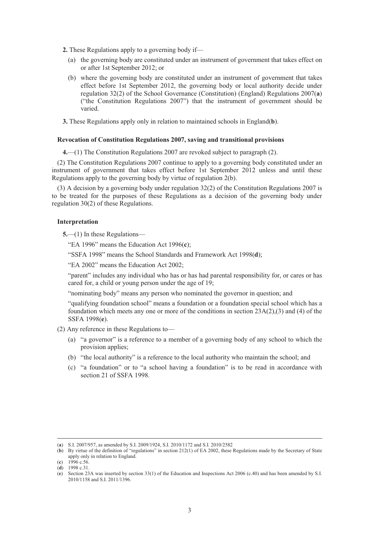**2.** These Regulations apply to a governing body if—

- (a) the governing body are constituted under an instrument of government that takes effect on or after 1st September 2012; or
- (b) where the governing body are constituted under an instrument of government that takes effect before 1st September 2012, the governing body or local authority decide under regulation 32(2) of the School Governance (Constitution) (England) Regulations 2007(**a**) ("the Constitution Regulations 2007") that the instrument of government should be varied.
- **3.** These Regulations apply only in relation to maintained schools in England(**b**).

#### **Revocation of Constitution Regulations 2007, saving and transitional provisions**

**4.**—(1) The Constitution Regulations 2007 are revoked subject to paragraph (2).

(2) The Constitution Regulations 2007 continue to apply to a governing body constituted under an instrument of government that takes effect before 1st September 2012 unless and until these Regulations apply to the governing body by virtue of regulation 2(b).

(3) A decision by a governing body under regulation 32(2) of the Constitution Regulations 2007 is to be treated for the purposes of these Regulations as a decision of the governing body under regulation 30(2) of these Regulations.

### **Interpretation**

**5.**—(1) In these Regulations—

"EA 1996" means the Education Act 1996(**c**);

"SSFA 1998" means the School Standards and Framework Act 1998(**d**);

"EA 2002" means the Education Act 2002;

"parent" includes any individual who has or has had parental responsibility for, or cares or has cared for, a child or young person under the age of 19;

"nominating body" means any person who nominated the governor in question; and

"qualifying foundation school" means a foundation or a foundation special school which has a foundation which meets any one or more of the conditions in section 23A(2),(3) and (4) of the SSFA 1998(**e**).

- (2) Any reference in these Regulations to—
	- (a) "a governor" is a reference to a member of a governing body of any school to which the provision applies;
	- (b) "the local authority" is a reference to the local authority who maintain the school; and
	- (c) "a foundation" or to "a school having a foundation" is to be read in accordance with section 21 of SSFA 1998.

 <sup>(</sup>**a**) S.I. 2007/957, as amended by S.I. 2009/1924, S.I. 2010/1172 and S.I. 2010/2582

<sup>(</sup>**b**) By virtue of the definition of "regulations" in section 212(1) of EA 2002, these Regulations made by the Secretary of State apply only in relation to England.

<sup>(</sup>**c**) 1996 c.56. (**d**) 1998 c.31.

<sup>(</sup>**e**) Section 23A was inserted by section 33(1) of the Education and Inspections Act 2006 (c.40) and has been amended by S.I. 2010/1158 and S.I. 2011/1396.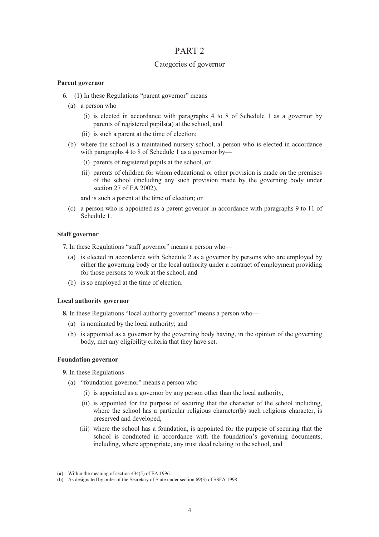## Categories of governor

### **Parent governor**

- **6.**—(1) In these Regulations "parent governor" means—
	- (a) a person who—
		- (i) is elected in accordance with paragraphs 4 to 8 of Schedule 1 as a governor by parents of registered pupils(**a**) at the school, and
		- (ii) is such a parent at the time of election;
	- (b) where the school is a maintained nursery school, a person who is elected in accordance with paragraphs 4 to 8 of Schedule 1 as a governor by—
		- (i) parents of registered pupils at the school, or
		- (ii) parents of children for whom educational or other provision is made on the premises of the school (including any such provision made by the governing body under section 27 of EA 2002),

and is such a parent at the time of election; or

(c) a person who is appointed as a parent governor in accordance with paragraphs 9 to 11 of Schedule 1.

### **Staff governor**

**7.** In these Regulations "staff governor" means a person who—

- (a) is elected in accordance with Schedule 2 as a governor by persons who are employed by either the governing body or the local authority under a contract of employment providing for those persons to work at the school, and
- (b) is so employed at the time of election.

### **Local authority governor**

**8.** In these Regulations "local authority governor" means a person who—

- (a) is nominated by the local authority; and
- (b) is appointed as a governor by the governing body having, in the opinion of the governing body, met any eligibility criteria that they have set.

### **Foundation governor**

**9.** In these Regulations—

- (a) "foundation governor" means a person who—
	- (i) is appointed as a governor by any person other than the local authority,
	- (ii) is appointed for the purpose of securing that the character of the school including, where the school has a particular religious character(**b**) such religious character, is preserved and developed,
	- (iii) where the school has a foundation, is appointed for the purpose of securing that the school is conducted in accordance with the foundation's governing documents, including, where appropriate, any trust deed relating to the school, and

 <sup>(</sup>**a**) Within the meaning of section 434(5) of EA 1996.

<sup>(</sup>**b**) As designated by order of the Secretary of State under section 69(3) of SSFA 1998.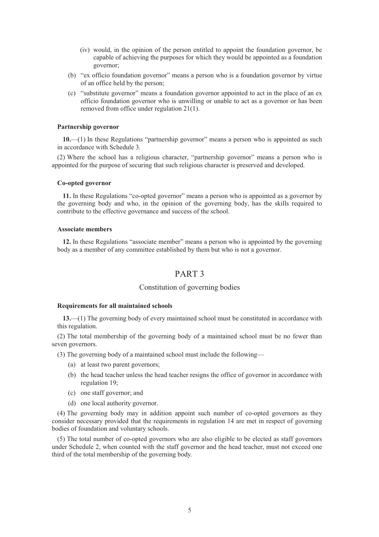- (iv) would, in the opinion of the person entitled to appoint the foundation governor, be capable of achieving the purposes for which they would be appointed as a foundation governor;
- (b) "ex officio foundation governor" means a person who is a foundation governor by virtue of an office held by the person;
- (c) "substitute governor" means a foundation governor appointed to act in the place of an ex officio foundation governor who is unwilling or unable to act as a governor or has been removed from office under regulation 21(1).

#### **Partnership governor**

**10.**—(1) In these Regulations "partnership governor" means a person who is appointed as such in accordance with Schedule 3.

(2) Where the school has a religious character, "partnership governor" means a person who is appointed for the purpose of securing that such religious character is preserved and developed.

#### **Co-opted governor**

**11.** In these Regulations "co-opted governor" means a person who is appointed as a governor by the governing body and who, in the opinion of the governing body, has the skills required to contribute to the effective governance and success of the school.

#### **Associate members**

**12.** In these Regulations "associate member" means a person who is appointed by the governing body as a member of any committee established by them but who is not a governor.

## PART 3

### Constitution of governing bodies

#### **Requirements for all maintained schools**

**13.**—(1) The governing body of every maintained school must be constituted in accordance with this regulation.

(2) The total membership of the governing body of a maintained school must be no fewer than seven governors.

- (3) The governing body of a maintained school must include the following—
	- (a) at least two parent governors;
	- (b) the head teacher unless the head teacher resigns the office of governor in accordance with regulation 19;
	- (c) one staff governor; and
	- (d) one local authority governor.

(4) The governing body may in addition appoint such number of co-opted governors as they consider necessary provided that the requirements in regulation 14 are met in respect of governing bodies of foundation and voluntary schools.

(5) The total number of co-opted governors who are also eligible to be elected as staff governors under Schedule 2, when counted with the staff governor and the head teacher, must not exceed one third of the total membership of the governing body.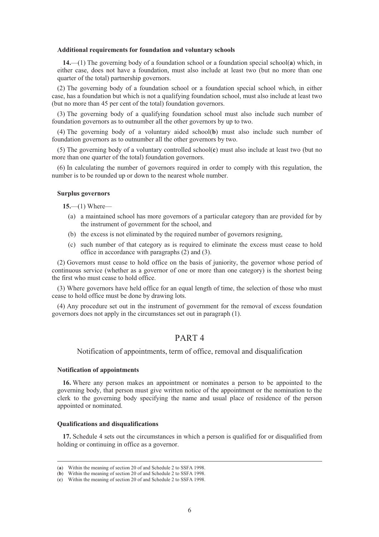#### **Additional requirements for foundation and voluntary schools**

**14.**—(1) The governing body of a foundation school or a foundation special school(**a**) which, in either case, does not have a foundation, must also include at least two (but no more than one quarter of the total) partnership governors.

(2) The governing body of a foundation school or a foundation special school which, in either case, has a foundation but which is not a qualifying foundation school, must also include at least two (but no more than 45 per cent of the total) foundation governors.

(3) The governing body of a qualifying foundation school must also include such number of foundation governors as to outnumber all the other governors by up to two.

(4) The governing body of a voluntary aided school(**b**) must also include such number of foundation governors as to outnumber all the other governors by two.

(5) The governing body of a voluntary controlled school(**c**) must also include at least two (but no more than one quarter of the total) foundation governors.

(6) In calculating the number of governors required in order to comply with this regulation, the number is to be rounded up or down to the nearest whole number.

#### **Surplus governors**

**15.**—(1) Where—

- (a) a maintained school has more governors of a particular category than are provided for by the instrument of government for the school, and
- (b) the excess is not eliminated by the required number of governors resigning,
- (c) such number of that category as is required to eliminate the excess must cease to hold office in accordance with paragraphs (2) and (3).

(2) Governors must cease to hold office on the basis of juniority, the governor whose period of continuous service (whether as a governor of one or more than one category) is the shortest being the first who must cease to hold office.

(3) Where governors have held office for an equal length of time, the selection of those who must cease to hold office must be done by drawing lots.

(4) Any procedure set out in the instrument of government for the removal of excess foundation governors does not apply in the circumstances set out in paragraph (1).

## PART 4

#### Notification of appointments, term of office, removal and disqualification

#### **Notification of appointments**

**16.** Where any person makes an appointment or nominates a person to be appointed to the governing body, that person must give written notice of the appointment or the nomination to the clerk to the governing body specifying the name and usual place of residence of the person appointed or nominated.

#### **Qualifications and disqualifications**

**17.** Schedule 4 sets out the circumstances in which a person is qualified for or disqualified from holding or continuing in office as a governor.

 <sup>(</sup>**a**) Within the meaning of section 20 of and Schedule 2 to SSFA 1998.

<sup>(</sup>**b**) Within the meaning of section 20 of and Schedule 2 to SSFA 1998.

<sup>(</sup>**c**) Within the meaning of section 20 of and Schedule 2 to SSFA 1998.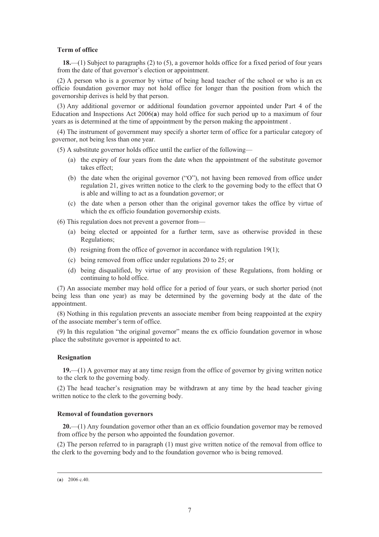#### **Term of office**

**18.**—(1) Subject to paragraphs (2) to (5), a governor holds office for a fixed period of four years from the date of that governor's election or appointment.

(2) A person who is a governor by virtue of being head teacher of the school or who is an ex officio foundation governor may not hold office for longer than the position from which the governorship derives is held by that person.

(3) Any additional governor or additional foundation governor appointed under Part 4 of the Education and Inspections Act 2006(**a**) may hold office for such period up to a maximum of four years as is determined at the time of appointment by the person making the appointment .

(4) The instrument of government may specify a shorter term of office for a particular category of governor, not being less than one year.

(5) A substitute governor holds office until the earlier of the following—

- (a) the expiry of four years from the date when the appointment of the substitute governor takes effect;
- (b) the date when the original governor ("O"), not having been removed from office under regulation 21, gives written notice to the clerk to the governing body to the effect that O is able and willing to act as a foundation governor; or
- (c) the date when a person other than the original governor takes the office by virtue of which the ex officio foundation governorship exists.

(6) This regulation does not prevent a governor from—

- (a) being elected or appointed for a further term, save as otherwise provided in these Regulations;
- (b) resigning from the office of governor in accordance with regulation 19(1);
- (c) being removed from office under regulations 20 to 25; or
- (d) being disqualified, by virtue of any provision of these Regulations, from holding or continuing to hold office.

(7) An associate member may hold office for a period of four years, or such shorter period (not being less than one year) as may be determined by the governing body at the date of the appointment.

(8) Nothing in this regulation prevents an associate member from being reappointed at the expiry of the associate member's term of office.

(9) In this regulation "the original governor" means the ex officio foundation governor in whose place the substitute governor is appointed to act.

#### **Resignation**

**19.**—(1) A governor may at any time resign from the office of governor by giving written notice to the clerk to the governing body.

(2) The head teacher's resignation may be withdrawn at any time by the head teacher giving written notice to the clerk to the governing body.

#### **Removal of foundation governors**

**20.**—(1) Any foundation governor other than an ex officio foundation governor may be removed from office by the person who appointed the foundation governor.

(2) The person referred to in paragraph (1) must give written notice of the removal from office to the clerk to the governing body and to the foundation governor who is being removed.

 <sup>(</sup>**a**) 2006 c.40.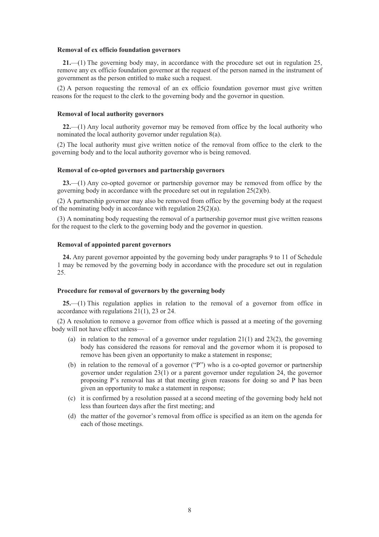#### **Removal of ex officio foundation governors**

**21.**—(1) The governing body may, in accordance with the procedure set out in regulation 25, remove any ex officio foundation governor at the request of the person named in the instrument of government as the person entitled to make such a request.

(2) A person requesting the removal of an ex officio foundation governor must give written reasons for the request to the clerk to the governing body and the governor in question.

#### **Removal of local authority governors**

**22.**—(1) Any local authority governor may be removed from office by the local authority who nominated the local authority governor under regulation 8(a).

(2) The local authority must give written notice of the removal from office to the clerk to the governing body and to the local authority governor who is being removed.

#### **Removal of co-opted governors and partnership governors**

**23.**—(1) Any co-opted governor or partnership governor may be removed from office by the governing body in accordance with the procedure set out in regulation 25(2)(b).

(2) A partnership governor may also be removed from office by the governing body at the request of the nominating body in accordance with regulation 25(2)(a).

(3) A nominating body requesting the removal of a partnership governor must give written reasons for the request to the clerk to the governing body and the governor in question.

### **Removal of appointed parent governors**

**24.** Any parent governor appointed by the governing body under paragraphs 9 to 11 of Schedule 1 may be removed by the governing body in accordance with the procedure set out in regulation 25.

#### **Procedure for removal of governors by the governing body**

**25.**—(1) This regulation applies in relation to the removal of a governor from office in accordance with regulations 21(1), 23 or 24.

(2) A resolution to remove a governor from office which is passed at a meeting of the governing body will not have effect unless—

- (a) in relation to the removal of a governor under regulation  $21(1)$  and  $23(2)$ , the governing body has considered the reasons for removal and the governor whom it is proposed to remove has been given an opportunity to make a statement in response;
- (b) in relation to the removal of a governor ("P") who is a co-opted governor or partnership governor under regulation 23(1) or a parent governor under regulation 24, the governor proposing P's removal has at that meeting given reasons for doing so and P has been given an opportunity to make a statement in response;
- (c) it is confirmed by a resolution passed at a second meeting of the governing body held not less than fourteen days after the first meeting; and
- (d) the matter of the governor's removal from office is specified as an item on the agenda for each of those meetings.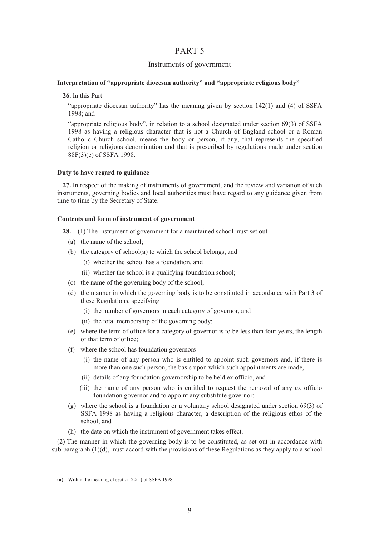### Instruments of government

### **Interpretation of "appropriate diocesan authority" and "appropriate religious body"**

**26.** In this Part—

"appropriate diocesan authority" has the meaning given by section 142(1) and (4) of SSFA 1998; and

"appropriate religious body", in relation to a school designated under section 69(3) of SSFA 1998 as having a religious character that is not a Church of England school or a Roman Catholic Church school, means the body or person, if any, that represents the specified religion or religious denomination and that is prescribed by regulations made under section 88F(3)(e) of SSFA 1998.

#### **Duty to have regard to guidance**

**27.** In respect of the making of instruments of government, and the review and variation of such instruments, governing bodies and local authorities must have regard to any guidance given from time to time by the Secretary of State.

#### **Contents and form of instrument of government**

**28.**—(1) The instrument of government for a maintained school must set out—

- (a) the name of the school;
- (b) the category of school(**a**) to which the school belongs, and—
	- (i) whether the school has a foundation, and
	- (ii) whether the school is a qualifying foundation school;
- (c) the name of the governing body of the school;
- (d) the manner in which the governing body is to be constituted in accordance with Part 3 of these Regulations, specifying—
	- (i) the number of governors in each category of governor, and
	- (ii) the total membership of the governing body;
- (e) where the term of office for a category of governor is to be less than four years, the length of that term of office;
- (f) where the school has foundation governors—
	- (i) the name of any person who is entitled to appoint such governors and, if there is more than one such person, the basis upon which such appointments are made,
	- (ii) details of any foundation governorship to be held ex officio, and
	- (iii) the name of any person who is entitled to request the removal of any ex officio foundation governor and to appoint any substitute governor;
- (g) where the school is a foundation or a voluntary school designated under section 69(3) of SSFA 1998 as having a religious character, a description of the religious ethos of the school; and
- (h) the date on which the instrument of government takes effect.

(2) The manner in which the governing body is to be constituted, as set out in accordance with sub-paragraph (1)(d), must accord with the provisions of these Regulations as they apply to a school

 <sup>(</sup>**a**) Within the meaning of section 20(1) of SSFA 1998.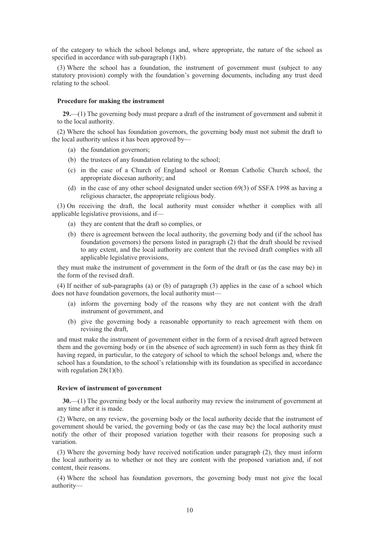of the category to which the school belongs and, where appropriate, the nature of the school as specified in accordance with sub-paragraph (1)(b).

(3) Where the school has a foundation, the instrument of government must (subject to any statutory provision) comply with the foundation's governing documents, including any trust deed relating to the school.

#### **Procedure for making the instrument**

**29.**—(1) The governing body must prepare a draft of the instrument of government and submit it to the local authority.

(2) Where the school has foundation governors, the governing body must not submit the draft to the local authority unless it has been approved by—

- (a) the foundation governors;
- (b) the trustees of any foundation relating to the school;
- (c) in the case of a Church of England school or Roman Catholic Church school, the appropriate diocesan authority; and
- (d) in the case of any other school designated under section 69(3) of SSFA 1998 as having a religious character, the appropriate religious body.

(3) On receiving the draft, the local authority must consider whether it complies with all applicable legislative provisions, and if—

- (a) they are content that the draft so complies, or
- (b) there is agreement between the local authority, the governing body and (if the school has foundation governors) the persons listed in paragraph (2) that the draft should be revised to any extent, and the local authority are content that the revised draft complies with all applicable legislative provisions,

they must make the instrument of government in the form of the draft or (as the case may be) in the form of the revised draft.

(4) If neither of sub-paragraphs (a) or (b) of paragraph (3) applies in the case of a school which does not have foundation governors, the local authority must—

- (a) inform the governing body of the reasons why they are not content with the draft instrument of government, and
- (b) give the governing body a reasonable opportunity to reach agreement with them on revising the draft,

and must make the instrument of government either in the form of a revised draft agreed between them and the governing body or (in the absence of such agreement) in such form as they think fit having regard, in particular, to the category of school to which the school belongs and, where the school has a foundation, to the school's relationship with its foundation as specified in accordance with regulation  $28(1)(b)$ .

#### **Review of instrument of government**

**30.**—(1) The governing body or the local authority may review the instrument of government at any time after it is made.

(2) Where, on any review, the governing body or the local authority decide that the instrument of government should be varied, the governing body or (as the case may be) the local authority must notify the other of their proposed variation together with their reasons for proposing such a variation.

(3) Where the governing body have received notification under paragraph (2), they must inform the local authority as to whether or not they are content with the proposed variation and, if not content, their reasons.

(4) Where the school has foundation governors, the governing body must not give the local authority—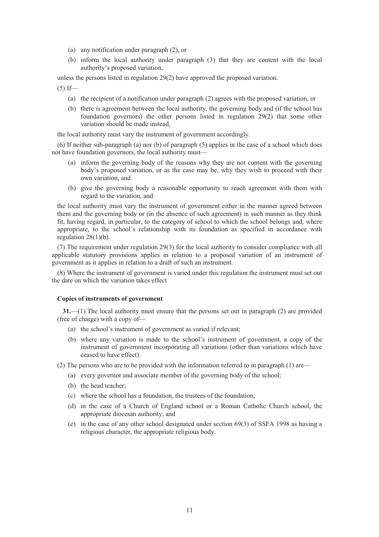- (a) any notification under paragraph (2), or
- (b) inform the local authority under paragraph (3) that they are content with the local authority's proposed variation,

unless the persons listed in regulation 29(2) have approved the proposed variation.

 $(5)$  If—

- (a) the recipient of a notification under paragraph (2) agrees with the proposed variation, or
- (b) there is agreement between the local authority, the governing body and (if the school has foundation governors) the other persons listed in regulation 29(2) that some other variation should be made instead,

the local authority must vary the instrument of government accordingly.

(6) If neither sub-paragraph (a) nor (b) of paragraph (5) applies in the case of a school which does not have foundation governors, the local authority must—

- (a) inform the governing body of the reasons why they are not content with the governing body's proposed variation, or as the case may be, why they wish to proceed with their own variation, and
- (b) give the governing body a reasonable opportunity to reach agreement with them with regard to the variation, and

the local authority must vary the instrument of government either in the manner agreed between them and the governing body or (in the absence of such agreement) in such manner as they think fit, having regard, in particular, to the category of school to which the school belongs and, where appropriate, to the school's relationship with its foundation as specified in accordance with regulation 28(1)(b).

(7) The requirement under regulation 29(3) for the local authority to consider compliance with all applicable statutory provisions applies in relation to a proposed variation of an instrument of government as it applies in relation to a draft of such an instrument.

(8) Where the instrument of government is varied under this regulation the instrument must set out the date on which the variation takes effect

### **Copies of instruments of government**

**31.**—(1) The local authority must ensure that the persons set out in paragraph (2) are provided (free of charge) with a copy of—

- (a) the school's instrument of government as varied if relevant;
- (b) where any variation is made to the school's instrument of government, a copy of the instrument of government incorporating all variations (other than variations which have ceased to have effect).

(2) The persons who are to be provided with the information referred to in paragraph (1) are—

- (a) every governor and associate member of the governing body of the school;
- (b) the head teacher;
- (c) where the school has a foundation, the trustees of the foundation;
- (d) in the case of a Church of England school or a Roman Catholic Church school, the appropriate diocesan authority; and
- (e) in the case of any other school designated under section 69(3) of SSFA 1998 as having a religious character, the appropriate religious body.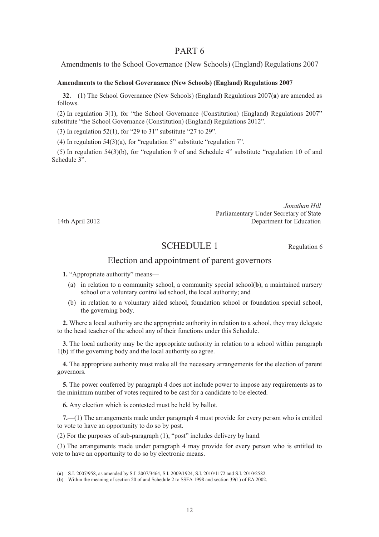Amendments to the School Governance (New Schools) (England) Regulations 2007

### **Amendments to the School Governance (New Schools) (England) Regulations 2007**

**32.**—(1) The School Governance (New Schools) (England) Regulations 2007(**a**) are amended as follows.

(2) In regulation 3(1), for "the School Governance (Constitution) (England) Regulations 2007" substitute "the School Governance (Constitution) (England) Regulations 2012".

(3) In regulation 52(1), for "29 to 31" substitute "27 to 29".

(4) In regulation 54(3)(a), for "regulation 5" substitute "regulation 7".

(5) In regulation 54(3)(b), for "regulation 9 of and Schedule 4" substitute "regulation 10 of and Schedule 3".

*Jonathan Hill* Parliamentary Under Secretary of State 14th April 2012 Department for Education

## SCHEDULE 1 Regulation 6

## Election and appointment of parent governors

**1.** "Appropriate authority" means—

- (a) in relation to a community school, a community special school(**b**), a maintained nursery school or a voluntary controlled school, the local authority; and
- (b) in relation to a voluntary aided school, foundation school or foundation special school, the governing body.

**2.** Where a local authority are the appropriate authority in relation to a school, they may delegate to the head teacher of the school any of their functions under this Schedule.

**3.** The local authority may be the appropriate authority in relation to a school within paragraph 1(b) if the governing body and the local authority so agree.

**4.** The appropriate authority must make all the necessary arrangements for the election of parent governors.

**5.** The power conferred by paragraph 4 does not include power to impose any requirements as to the minimum number of votes required to be cast for a candidate to be elected.

**6.** Any election which is contested must be held by ballot.

**7.**—(1) The arrangements made under paragraph 4 must provide for every person who is entitled to vote to have an opportunity to do so by post.

(2) For the purposes of sub-paragraph (1), "post" includes delivery by hand.

(3) The arrangements made under paragraph 4 may provide for every person who is entitled to vote to have an opportunity to do so by electronic means.

 <sup>(</sup>**a**) S.I. 2007/958, as amended by S.I. 2007/3464, S.I. 2009/1924, S.I. 2010/1172 and S.I. 2010/2582.

<sup>(</sup>**b**) Within the meaning of section 20 of and Schedule 2 to SSFA 1998 and section 39(1) of EA 2002.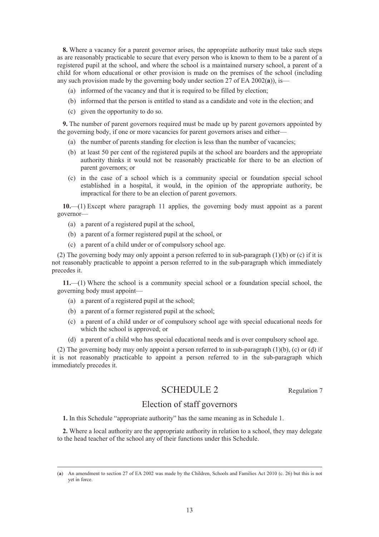**8.** Where a vacancy for a parent governor arises, the appropriate authority must take such steps as are reasonably practicable to secure that every person who is known to them to be a parent of a registered pupil at the school, and where the school is a maintained nursery school, a parent of a child for whom educational or other provision is made on the premises of the school (including any such provision made by the governing body under section 27 of EA 2002(**a**)), is—

- (a) informed of the vacancy and that it is required to be filled by election;
- (b) informed that the person is entitled to stand as a candidate and vote in the election; and
- (c) given the opportunity to do so.

**9.** The number of parent governors required must be made up by parent governors appointed by the governing body, if one or more vacancies for parent governors arises and either—

- (a) the number of parents standing for election is less than the number of vacancies;
- (b) at least 50 per cent of the registered pupils at the school are boarders and the appropriate authority thinks it would not be reasonably practicable for there to be an election of parent governors; or
- (c) in the case of a school which is a community special or foundation special school established in a hospital, it would, in the opinion of the appropriate authority, be impractical for there to be an election of parent governors.

**10.**—(1) Except where paragraph 11 applies, the governing body must appoint as a parent governor—

- (a) a parent of a registered pupil at the school,
- (b) a parent of a former registered pupil at the school, or
- (c) a parent of a child under or of compulsory school age.

(2) The governing body may only appoint a person referred to in sub-paragraph (1)(b) or (c) if it is not reasonably practicable to appoint a person referred to in the sub-paragraph which immediately precedes it.

**11.**—(1) Where the school is a community special school or a foundation special school, the governing body must appoint—

- (a) a parent of a registered pupil at the school;
- (b) a parent of a former registered pupil at the school;
- (c) a parent of a child under or of compulsory school age with special educational needs for which the school is approved; or
- (d) a parent of a child who has special educational needs and is over compulsory school age.

(2) The governing body may only appoint a person referred to in sub-paragraph (1)(b), (c) or (d) if it is not reasonably practicable to appoint a person referred to in the sub-paragraph which immediately precedes it.

## SCHEDULE 2 Regulation 7

## Election of staff governors

**1.** In this Schedule "appropriate authority" has the same meaning as in Schedule 1.

**2.** Where a local authority are the appropriate authority in relation to a school, they may delegate to the head teacher of the school any of their functions under this Schedule.

 <sup>(</sup>**a**) An amendment to section 27 of EA 2002 was made by the Children, Schools and Families Act 2010 (c. 26) but this is not yet in force.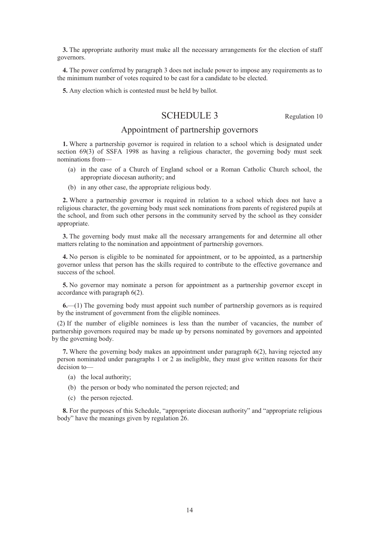**3.** The appropriate authority must make all the necessary arrangements for the election of staff governors.

**4.** The power conferred by paragraph 3 does not include power to impose any requirements as to the minimum number of votes required to be cast for a candidate to be elected.

**5.** Any election which is contested must be held by ballot.

## SCHEDULE 3 Regulation 10

## Appointment of partnership governors

**1.** Where a partnership governor is required in relation to a school which is designated under section 69(3) of SSFA 1998 as having a religious character, the governing body must seek nominations from—

- (a) in the case of a Church of England school or a Roman Catholic Church school, the appropriate diocesan authority; and
- (b) in any other case, the appropriate religious body.

**2.** Where a partnership governor is required in relation to a school which does not have a religious character, the governing body must seek nominations from parents of registered pupils at the school, and from such other persons in the community served by the school as they consider appropriate.

**3.** The governing body must make all the necessary arrangements for and determine all other matters relating to the nomination and appointment of partnership governors.

**4.** No person is eligible to be nominated for appointment, or to be appointed, as a partnership governor unless that person has the skills required to contribute to the effective governance and success of the school.

**5.** No governor may nominate a person for appointment as a partnership governor except in accordance with paragraph 6(2).

**6.**—(1) The governing body must appoint such number of partnership governors as is required by the instrument of government from the eligible nominees.

(2) If the number of eligible nominees is less than the number of vacancies, the number of partnership governors required may be made up by persons nominated by governors and appointed by the governing body.

**7.** Where the governing body makes an appointment under paragraph 6(2), having rejected any person nominated under paragraphs 1 or 2 as ineligible, they must give written reasons for their decision to—

- (a) the local authority;
- (b) the person or body who nominated the person rejected; and
- (c) the person rejected.

**8.** For the purposes of this Schedule, "appropriate diocesan authority" and "appropriate religious body" have the meanings given by regulation 26.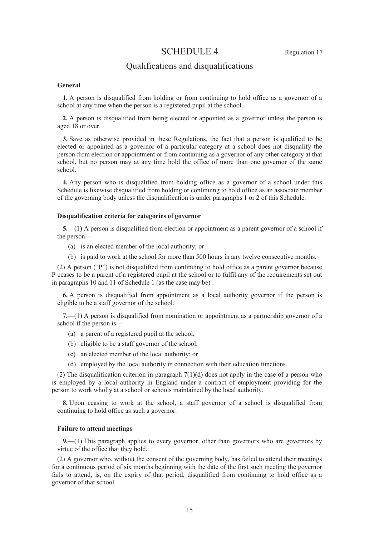## SCHEDULE 4 Regulation 17

## Qualifications and disqualifications

#### **General**

**1.** A person is disqualified from holding or from continuing to hold office as a governor of a school at any time when the person is a registered pupil at the school.

**2.** A person is disqualified from being elected or appointed as a governor unless the person is aged 18 or over.

**3.** Save as otherwise provided in these Regulations, the fact that a person is qualified to be elected or appointed as a governor of a particular category at a school does not disqualify the person from election or appointment or from continuing as a governor of any other category at that school, but no person may at any time hold the office of more than one governor of the same school.

**4.** Any person who is disqualified from holding office as a governor of a school under this Schedule is likewise disqualified from holding or continuing to hold office as an associate member of the governing body unless the disqualification is under paragraphs 1 or 2 of this Schedule.

#### **Disqualification criteria for categories of governor**

**5.**—(1) A person is disqualified from election or appointment as a parent governor of a school if the person—

- (a) is an elected member of the local authority; or
- (b) is paid to work at the school for more than 500 hours in any twelve consecutive months.

(2) A person ("P") is not disqualified from continuing to hold office as a parent governor because P ceases to be a parent of a registered pupil at the school or to fulfil any of the requirements set out in paragraphs 10 and 11 of Schedule 1 (as the case may be) .

**6.** A person is disqualified from appointment as a local authority governor if the person is eligible to be a staff governor of the school.

**7.**—(1) A person is disqualified from nomination or appointment as a partnership governor of a school if the person is—

- (a) a parent of a registered pupil at the school;
- (b) eligible to be a staff governor of the school;
- (c) an elected member of the local authority; or
- (d) employed by the local authority in connection with their education functions.

(2) The disqualification criterion in paragraph  $7(1)(d)$  does not apply in the case of a person who is employed by a local authority in England under a contract of employment providing for the person to work wholly at a school or schools maintained by the local authority.

**8.** Upon ceasing to work at the school, a staff governor of a school is disqualified from continuing to hold office as such a governor.

#### **Failure to attend meetings**

**9.**—(1) This paragraph applies to every governor, other than governors who are governors by virtue of the office that they hold.

(2) A governor who, without the consent of the governing body, has failed to attend their meetings for a continuous period of six months beginning with the date of the first such meeting the governor fails to attend, is, on the expiry of that period, disqualified from continuing to hold office as a governor of that school.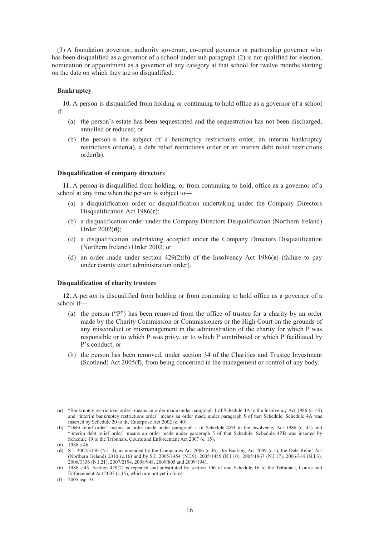(3) A foundation governor, authority governor, co-opted governor or partnership governor who has been disqualified as a governor of a school under sub-paragraph (2) is not qualified for election, nomination or appointment as a governor of any category at that school for twelve months starting on the date on which they are so disqualified.

#### **Bankruptcy**

**10.** A person is disqualified from holding or continuing to hold office as a governor of a school if—

- (a) the person's estate has been sequestrated and the sequestration has not been discharged, annulled or reduced; or
- (b) the person is the subject of a bankruptcy restrictions order, an interim bankruptcy restrictions order(**a**), a debt relief restrictions order or an interim debt relief restrictions order(**b**).

#### **Disqualification of company directors**

**11.** A person is disqualified from holding, or from continuing to hold, office as a governor of a school at any time when the person is subject to—

- (a) a disqualification order or disqualification undertaking under the Company Directors Disqualification Act 1986(**c**);
- (b) a disqualification order under the Company Directors Disqualification (Northern Ireland) Order 2002(**d**);
- (c) a disqualification undertaking accepted under the Company Directors Disqualification (Northern Ireland) Order 2002; or
- (d) an order made under section 429(2)(b) of the Insolvency Act 1986(**e**) (failure to pay under county court administration order).

#### **Disqualification of charity trustees**

**12.** A person is disqualified from holding or from continuing to hold office as a governor of a school if—

- (a) the person ("P") has been removed from the office of trustee for a charity by an order made by the Charity Commission or Commissioners or the High Court on the grounds of any misconduct or mismanagement in the administration of the charity for which P was responsible or to which P was privy, or to which P contributed or which P facilitated by P's conduct; or
- (b) the person has been removed, under section 34 of the Charities and Trustee Investment (Scotland) Act 2005(**f**), from being concerned in the management or control of any body.

 <sup>(</sup>**a**) "Bankruptcy restrictions order" means an order made under paragraph 1 of Schedule 4A to the Insolvency Act 1986 (c. 45) and "interim bankruptcy restrictions order" means an order made under paragraph 5 of that Schedule. Schedule 4A was inserted by Schedule 20 to the Enterprise Act 2002 (c. 40).

<sup>(</sup>**b**) "Debt relief order" means an order made under paragraph 1 of Schedule 4ZB to the Insolvency Act 1986 (c. 45) and "interim debt relief order" means an order made under paragraph 5 of that Schedule. Schedule 4ZB was inserted by Schedule 19 to the Tribunals, Courts and Enforcement Act 2007 (c. 15).

<sup>(</sup>**c**) 1986 c.46.

 $(d)$  S.I. 2002/3150 (N.I. 4), as amended by the Companies Act 2006 (c.46), the Banking Act 2009 (c.1), the Debt Relief Act (Northern Ireland) 2010 (c.16) and by S.I. 2005/1454 (N.I.9), 2005/1455 (N.I.10), 2005/1967 (N.I.17), 2006/314 (N.I.3), 2006/3336 (N.I.21), 2007/2194, 2008/948, 2009/805 and 2009/1941.

<sup>(</sup>**e**) 1986 c.45. Section 429(2) is repealed and substituted by section 106 of and Schedule 16 to the Tribunals, Courts and Enforcement Act 2007 (c.15), which are not yet in force.

<sup>(</sup>**f**) 2005 asp 10.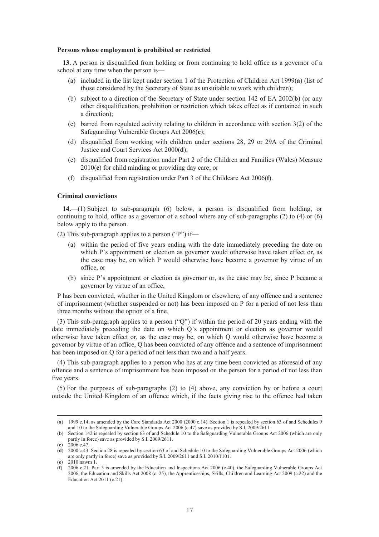#### **Persons whose employment is prohibited or restricted**

**13.** A person is disqualified from holding or from continuing to hold office as a governor of a school at any time when the person is—

- (a) included in the list kept under section 1 of the Protection of Children Act 1999(**a**) (list of those considered by the Secretary of State as unsuitable to work with children);
- (b) subject to a direction of the Secretary of State under section 142 of EA 2002(**b**) (or any other disqualification, prohibition or restriction which takes effect as if contained in such a direction);
- (c) barred from regulated activity relating to children in accordance with section 3(2) of the Safeguarding Vulnerable Groups Act 2006(**c**);
- (d) disqualified from working with children under sections 28, 29 or 29A of the Criminal Justice and Court Services Act 2000(**d**);
- (e) disqualified from registration under Part 2 of the Children and Families (Wales) Measure 2010(**e**) for child minding or providing day care; or
- (f) disqualified from registration under Part 3 of the Childcare Act 2006(**f**).

### **Criminal convictions**

**14.**—(1) Subject to sub-paragraph (6) below, a person is disqualified from holding, or continuing to hold, office as a governor of a school where any of sub-paragraphs  $(2)$  to  $(4)$  or  $(6)$ below apply to the person.

(2) This sub-paragraph applies to a person ("P") if—

- (a) within the period of five years ending with the date immediately preceding the date on which P's appointment or election as governor would otherwise have taken effect or, as the case may be, on which P would otherwise have become a governor by virtue of an office, or
- (b) since P's appointment or election as governor or, as the case may be, since P became a governor by virtue of an office,

P has been convicted, whether in the United Kingdom or elsewhere, of any offence and a sentence of imprisonment (whether suspended or not) has been imposed on P for a period of not less than three months without the option of a fine.

(3) This sub-paragraph applies to a person ("Q") if within the period of 20 years ending with the date immediately preceding the date on which Q's appointment or election as governor would otherwise have taken effect or, as the case may be, on which Q would otherwise have become a governor by virtue of an office, Q has been convicted of any offence and a sentence of imprisonment has been imposed on Q for a period of not less than two and a half years.

(4) This sub-paragraph applies to a person who has at any time been convicted as aforesaid of any offence and a sentence of imprisonment has been imposed on the person for a period of not less than five years.

(5) For the purposes of sub-paragraphs (2) to (4) above, any conviction by or before a court outside the United Kingdom of an offence which, if the facts giving rise to the offence had taken

 <sup>(</sup>**a**) 1999 c.14, as amended by the Care Standards Act 2000 (2000 c.14). Section 1 is repealed by section 63 of and Schedules 9 and 10 to the Safeguarding Vulnerable Groups Act 2006 (c.47) save as provided by S.I. 2009/2611.

<sup>(</sup>**b**) Section 142 is repealed by section 63 of and Schedule 10 to the Safeguarding Vulnerable Groups Act 2006 (which are only partly in force) save as provided by S.I. 2009/2611.

<sup>(</sup>**c**) 2006 c.47.

<sup>(</sup>**d**) 2000 c.43. Section 28 is repealed by section 63 of and Schedule 10 to the Safeguarding Vulnerable Groups Act 2006 (which are only partly in force) save as provided by S.I. 2009/2611 and S.I. 2010/1101.

<sup>(</sup>**e**) 2010 nawm 1.

<sup>(</sup>**f**) 2006 c.21. Part 3 is amended by the Education and Inspections Act 2006 (c.40), the Safeguarding Vulnerable Groups Act 2006, the Education and Skills Act 2008 (c. 25), the Apprenticeships, Skills, Children and Learning Act 2009 (c.22) and the Education Act 2011 (c.21).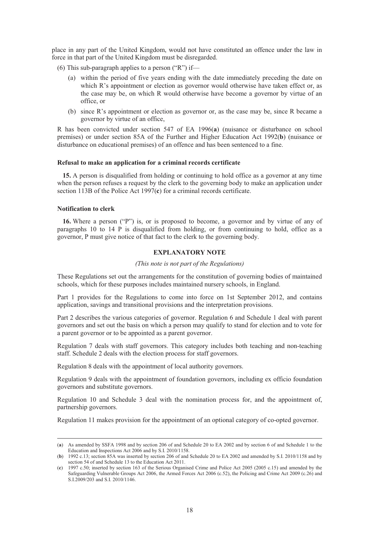place in any part of the United Kingdom, would not have constituted an offence under the law in force in that part of the United Kingdom must be disregarded.

- (6) This sub-paragraph applies to a person ("R") if—
	- (a) within the period of five years ending with the date immediately preceding the date on which R's appointment or election as governor would otherwise have taken effect or, as the case may be, on which R would otherwise have become a governor by virtue of an office, or
	- (b) since R's appointment or election as governor or, as the case may be, since R became a governor by virtue of an office,

R has been convicted under section 547 of EA 1996(**a**) (nuisance or disturbance on school premises) or under section 85A of the Further and Higher Education Act 1992(**b**) (nuisance or disturbance on educational premises) of an offence and has been sentenced to a fine.

#### **Refusal to make an application for a criminal records certificate**

**15.** A person is disqualified from holding or continuing to hold office as a governor at any time when the person refuses a request by the clerk to the governing body to make an application under section 113B of the Police Act 1997(**c**) for a criminal records certificate.

### **Notification to clerk**

**16.** Where a person ("P") is, or is proposed to become, a governor and by virtue of any of paragraphs 10 to 14 P is disqualified from holding, or from continuing to hold, office as a governor, P must give notice of that fact to the clerk to the governing body.

#### **EXPLANATORY NOTE**

#### *(This note is not part of the Regulations)*

These Regulations set out the arrangements for the constitution of governing bodies of maintained schools, which for these purposes includes maintained nursery schools, in England.

Part 1 provides for the Regulations to come into force on 1st September 2012, and contains application, savings and transitional provisions and the interpretation provisions.

Part 2 describes the various categories of governor. Regulation 6 and Schedule 1 deal with parent governors and set out the basis on which a person may qualify to stand for election and to vote for a parent governor or to be appointed as a parent governor.

Regulation 7 deals with staff governors. This category includes both teaching and non-teaching staff. Schedule 2 deals with the election process for staff governors.

Regulation 8 deals with the appointment of local authority governors.

Regulation 9 deals with the appointment of foundation governors, including ex officio foundation governors and substitute governors.

Regulation 10 and Schedule 3 deal with the nomination process for, and the appointment of, partnership governors.

Regulation 11 makes provision for the appointment of an optional category of co-opted governor.

 <sup>(</sup>**a**) As amended by SSFA 1998 and by section 206 of and Schedule 20 to EA 2002 and by section 6 of and Schedule 1 to the Education and Inspections Act 2006 and by S.I. 2010/1158.

<sup>(</sup>**b**) 1992 c.13; section 85A was inserted by section 206 of and Schedule 20 to EA 2002 and amended by S.I. 2010/1158 and by section 54 of and Schedule 13 to the Education Act 2011.

<sup>(</sup>**c**) 1997 c.50; inserted by section 163 of the Serious Organised Crime and Police Act 2005 (2005 c.15) and amended by the Safeguarding Vulnerable Groups Act 2006, the Armed Forces Act 2006 (c.52), the Policing and Crime Act 2009 (c.26) and S.I.2009/203 and S.I. 2010/1146.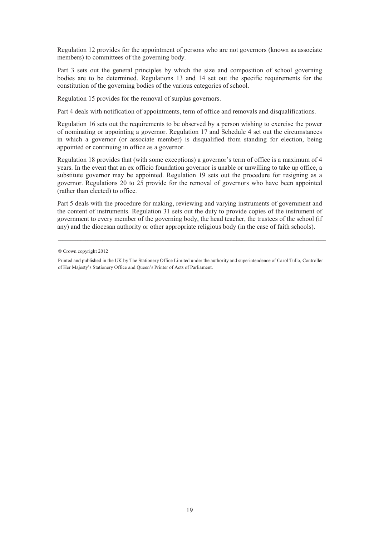Regulation 12 provides for the appointment of persons who are not governors (known as associate members) to committees of the governing body.

Part 3 sets out the general principles by which the size and composition of school governing bodies are to be determined. Regulations 13 and 14 set out the specific requirements for the constitution of the governing bodies of the various categories of school.

Regulation 15 provides for the removal of surplus governors.

Part 4 deals with notification of appointments, term of office and removals and disqualifications.

Regulation 16 sets out the requirements to be observed by a person wishing to exercise the power of nominating or appointing a governor. Regulation 17 and Schedule 4 set out the circumstances in which a governor (or associate member) is disqualified from standing for election, being appointed or continuing in office as a governor.

Regulation 18 provides that (with some exceptions) a governor's term of office is a maximum of 4 years. In the event that an ex officio foundation governor is unable or unwilling to take up office, a substitute governor may be appointed. Regulation 19 sets out the procedure for resigning as a governor. Regulations 20 to 25 provide for the removal of governors who have been appointed (rather than elected) to office.

Part 5 deals with the procedure for making, reviewing and varying instruments of government and the content of instruments. Regulation 31 sets out the duty to provide copies of the instrument of government to every member of the governing body, the head teacher, the trustees of the school (if any) and the diocesan authority or other appropriate religious body (in the case of faith schools).

<sup>©</sup> Crown copyright 2012

Printed and published in the UK by The Stationery Office Limited under the authority and superintendence of Carol Tullo, Controller of Her Majesty's Stationery Office and Queen's Printer of Acts of Parliament.